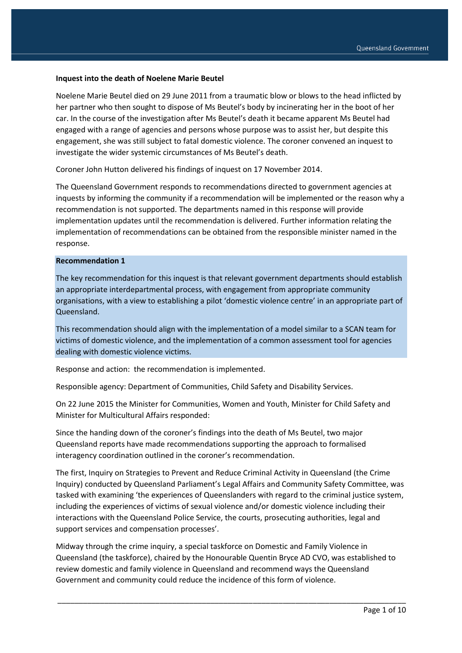#### **Inquest into the death of Noelene Marie Beutel**

Noelene Marie Beutel died on 29 June 2011 from a traumatic blow or blows to the head inflicted by her partner who then sought to dispose of Ms Beutel's body by incinerating her in the boot of her car. In the course of the investigation after Ms Beutel's death it became apparent Ms Beutel had engaged with a range of agencies and persons whose purpose was to assist her, but despite this engagement, she was still subject to fatal domestic violence. The coroner convened an inquest to investigate the wider systemic circumstances of Ms Beutel's death.

Coroner John Hutton delivered his findings of inquest on 17 November 2014.

The Queensland Government responds to recommendations directed to government agencies at inquests by informing the community if a recommendation will be implemented or the reason why a recommendation is not supported. The departments named in this response will provide implementation updates until the recommendation is delivered. Further information relating the implementation of recommendations can be obtained from the responsible minister named in the response.

#### **Recommendation 1**

The key recommendation for this inquest is that relevant government departments should establish an appropriate interdepartmental process, with engagement from appropriate community organisations, with a view to establishing a pilot 'domestic violence centre' in an appropriate part of Queensland.

This recommendation should align with the implementation of a model similar to a SCAN team for victims of domestic violence, and the implementation of a common assessment tool for agencies dealing with domestic violence victims.

Response and action: the recommendation is implemented.

Responsible agency: Department of Communities, Child Safety and Disability Services.

On 22 June 2015 the Minister for Communities, Women and Youth, Minister for Child Safety and Minister for Multicultural Affairs responded:

Since the handing down of the coroner's findings into the death of Ms Beutel, two major Queensland reports have made recommendations supporting the approach to formalised interagency coordination outlined in the coroner's recommendation.

The first, Inquiry on Strategies to Prevent and Reduce Criminal Activity in Queensland (the Crime Inquiry) conducted by Queensland Parliament's Legal Affairs and Community Safety Committee, was tasked with examining 'the experiences of Queenslanders with regard to the criminal justice system, including the experiences of victims of sexual violence and/or domestic violence including their interactions with the Queensland Police Service, the courts, prosecuting authorities, legal and support services and compensation processes'.

Midway through the crime inquiry, a special taskforce on Domestic and Family Violence in Queensland (the taskforce), chaired by the Honourable Quentin Bryce AD CVO, was established to review domestic and family violence in Queensland and recommend ways the Queensland Government and community could reduce the incidence of this form of violence.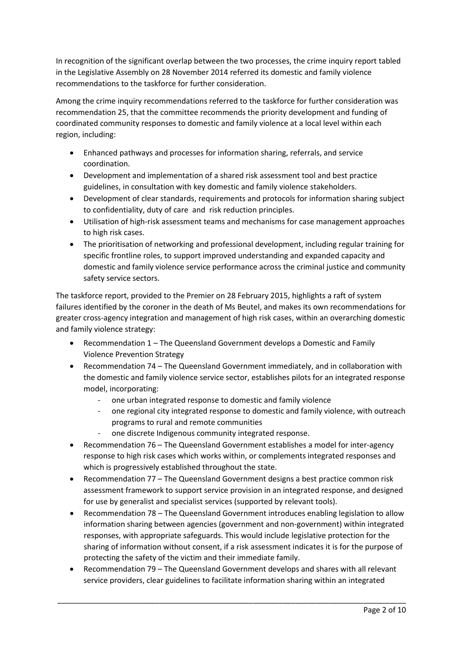In recognition of the significant overlap between the two processes, the crime inquiry report tabled in the Legislative Assembly on 28 November 2014 referred its domestic and family violence recommendations to the taskforce for further consideration.

Among the crime inquiry recommendations referred to the taskforce for further consideration was recommendation 25, that the committee recommends the priority development and funding of coordinated community responses to domestic and family violence at a local level within each region, including:

- Enhanced pathways and processes for information sharing, referrals, and service coordination.
- Development and implementation of a shared risk assessment tool and best practice guidelines, in consultation with key domestic and family violence stakeholders.
- Development of clear standards, requirements and protocols for information sharing subject to confidentiality, duty of care and risk reduction principles.
- Utilisation of high-risk assessment teams and mechanisms for case management approaches to high risk cases.
- The prioritisation of networking and professional development, including regular training for specific frontline roles, to support improved understanding and expanded capacity and domestic and family violence service performance across the criminal justice and community safety service sectors.

The taskforce report, provided to the Premier on 28 February 2015, highlights a raft of system failures identified by the coroner in the death of Ms Beutel, and makes its own recommendations for greater cross-agency integration and management of high risk cases, within an overarching domestic and family violence strategy:

- Recommendation 1 The Queensland Government develops a Domestic and Family Violence Prevention Strategy
- Recommendation 74 The Queensland Government immediately, and in collaboration with the domestic and family violence service sector, establishes pilots for an integrated response model, incorporating:
	- one urban integrated response to domestic and family violence
	- one regional city integrated response to domestic and family violence, with outreach programs to rural and remote communities
	- one discrete Indigenous community integrated response.
- Recommendation 76 The Queensland Government establishes a model for inter-agency response to high risk cases which works within, or complements integrated responses and which is progressively established throughout the state.
- Recommendation 77 The Queensland Government designs a best practice common risk assessment framework to support service provision in an integrated response, and designed for use by generalist and specialist services (supported by relevant tools).
- Recommendation 78 The Queensland Government introduces enabling legislation to allow information sharing between agencies (government and non-government) within integrated responses, with appropriate safeguards. This would include legislative protection for the sharing of information without consent, if a risk assessment indicates it is for the purpose of protecting the safety of the victim and their immediate family.
- Recommendation 79 The Queensland Government develops and shares with all relevant service providers, clear guidelines to facilitate information sharing within an integrated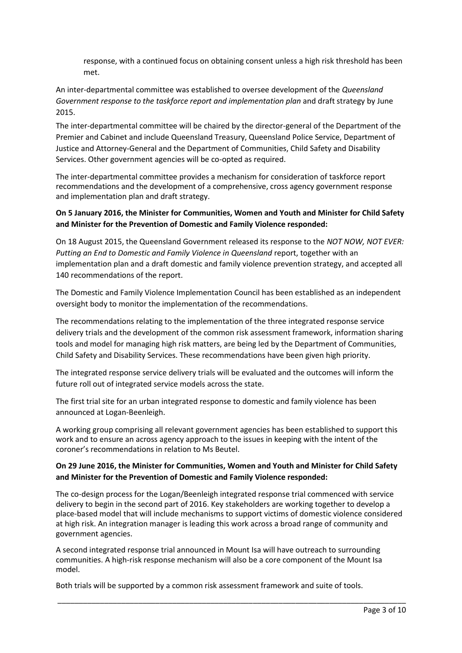response, with a continued focus on obtaining consent unless a high risk threshold has been met.

An inter-departmental committee was established to oversee development of the *Queensland Government response to the taskforce report and implementation plan* and draft strategy by June 2015.

The inter-departmental committee will be chaired by the director-general of the Department of the Premier and Cabinet and include Queensland Treasury, Queensland Police Service, Department of Justice and Attorney-General and the Department of Communities, Child Safety and Disability Services. Other government agencies will be co-opted as required.

The inter-departmental committee provides a mechanism for consideration of taskforce report recommendations and the development of a comprehensive, cross agency government response and implementation plan and draft strategy.

## **On 5 January 2016, the Minister for Communities, Women and Youth and Minister for Child Safety and Minister for the Prevention of Domestic and Family Violence responded:**

On 18 August 2015, the Queensland Government released its response to the *NOT NOW, NOT EVER: Putting an End to Domestic and Family Violence in Queensland* report, together with an implementation plan and a draft domestic and family violence prevention strategy, and accepted all 140 recommendations of the report.

The Domestic and Family Violence Implementation Council has been established as an independent oversight body to monitor the implementation of the recommendations.

The recommendations relating to the implementation of the three integrated response service delivery trials and the development of the common risk assessment framework, information sharing tools and model for managing high risk matters, are being led by the Department of Communities, Child Safety and Disability Services. These recommendations have been given high priority.

The integrated response service delivery trials will be evaluated and the outcomes will inform the future roll out of integrated service models across the state.

The first trial site for an urban integrated response to domestic and family violence has been announced at Logan-Beenleigh.

A working group comprising all relevant government agencies has been established to support this work and to ensure an across agency approach to the issues in keeping with the intent of the coroner's recommendations in relation to Ms Beutel.

#### **On 29 June 2016, the Minister for Communities, Women and Youth and Minister for Child Safety and Minister for the Prevention of Domestic and Family Violence responded:**

The co-design process for the Logan/Beenleigh integrated response trial commenced with service delivery to begin in the second part of 2016. Key stakeholders are working together to develop a place-based model that will include mechanisms to support victims of domestic violence considered at high risk. An integration manager is leading this work across a broad range of community and government agencies.

\_\_\_\_\_\_\_\_\_\_\_\_\_\_\_\_\_\_\_\_\_\_\_\_\_\_\_\_\_\_\_\_\_\_\_\_\_\_\_\_\_\_\_\_\_\_\_\_\_\_\_\_\_\_\_\_\_\_\_\_\_\_\_\_\_\_\_\_\_\_\_\_\_\_\_\_\_\_\_\_\_\_

A second integrated response trial announced in Mount Isa will have outreach to surrounding communities. A high-risk response mechanism will also be a core component of the Mount Isa model.

Both trials will be supported by a common risk assessment framework and suite of tools.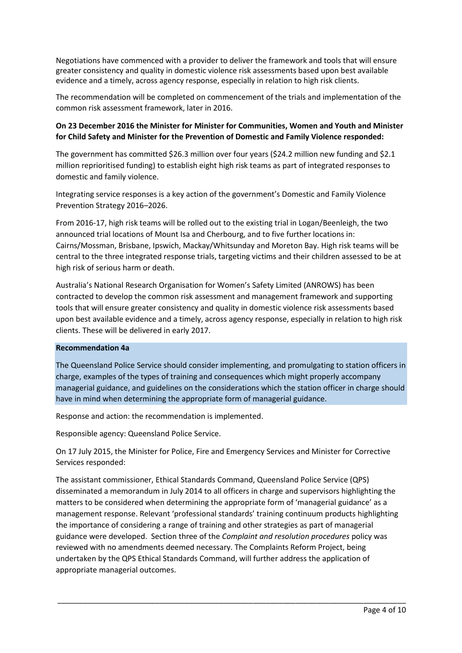Negotiations have commenced with a provider to deliver the framework and tools that will ensure greater consistency and quality in domestic violence risk assessments based upon best available evidence and a timely, across agency response, especially in relation to high risk clients.

The recommendation will be completed on commencement of the trials and implementation of the common risk assessment framework, later in 2016.

## **On 23 December 2016 the Minister for Minister for Communities, Women and Youth and Minister for Child Safety and Minister for the Prevention of Domestic and Family Violence responded:**

The government has committed \$26.3 million over four years (\$24.2 million new funding and \$2.1 million reprioritised funding) to establish eight high risk teams as part of integrated responses to domestic and family violence.

Integrating service responses is a key action of the government's Domestic and Family Violence Prevention Strategy 2016–2026.

From 2016-17, high risk teams will be rolled out to the existing trial in Logan/Beenleigh, the two announced trial locations of Mount Isa and Cherbourg, and to five further locations in: Cairns/Mossman, Brisbane, Ipswich, Mackay/Whitsunday and Moreton Bay. High risk teams will be central to the three integrated response trials, targeting victims and their children assessed to be at high risk of serious harm or death.

Australia's National Research Organisation for Women's Safety Limited (ANROWS) has been contracted to develop the common risk assessment and management framework and supporting tools that will ensure greater consistency and quality in domestic violence risk assessments based upon best available evidence and a timely, across agency response, especially in relation to high risk clients. These will be delivered in early 2017.

#### **Recommendation 4a**

The Queensland Police Service should consider implementing, and promulgating to station officers in charge, examples of the types of training and consequences which might properly accompany managerial guidance, and guidelines on the considerations which the station officer in charge should have in mind when determining the appropriate form of managerial guidance.

Response and action: the recommendation is implemented.

Responsible agency: Queensland Police Service.

On 17 July 2015, the Minister for Police, Fire and Emergency Services and Minister for Corrective Services responded:

The assistant commissioner, Ethical Standards Command, Queensland Police Service (QPS) disseminated a memorandum in July 2014 to all officers in charge and supervisors highlighting the matters to be considered when determining the appropriate form of 'managerial guidance' as a management response. Relevant 'professional standards' training continuum products highlighting the importance of considering a range of training and other strategies as part of managerial guidance were developed. Section three of the *Complaint and resolution procedures* policy was reviewed with no amendments deemed necessary. The Complaints Reform Project, being undertaken by the QPS Ethical Standards Command, will further address the application of appropriate managerial outcomes.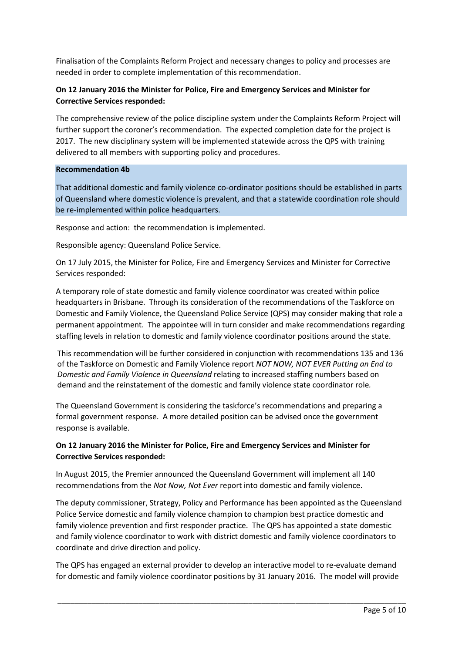Finalisation of the Complaints Reform Project and necessary changes to policy and processes are needed in order to complete implementation of this recommendation.

## **On 12 January 2016 the Minister for Police, Fire and Emergency Services and Minister for Corrective Services responded:**

The comprehensive review of the police discipline system under the Complaints Reform Project will further support the coroner's recommendation. The expected completion date for the project is 2017. The new disciplinary system will be implemented statewide across the QPS with training delivered to all members with supporting policy and procedures.

#### **Recommendation 4b**

That additional domestic and family violence co-ordinator positions should be established in parts of Queensland where domestic violence is prevalent, and that a statewide coordination role should be re-implemented within police headquarters.

Response and action: the recommendation is implemented.

Responsible agency: Queensland Police Service.

On 17 July 2015, the Minister for Police, Fire and Emergency Services and Minister for Corrective Services responded:

A temporary role of state domestic and family violence coordinator was created within police headquarters in Brisbane. Through its consideration of the recommendations of the Taskforce on Domestic and Family Violence, the Queensland Police Service (QPS) may consider making that role a permanent appointment. The appointee will in turn consider and make recommendations regarding staffing levels in relation to domestic and family violence coordinator positions around the state.

This recommendation will be further considered in conjunction with recommendations 135 and 136 of the Taskforce on Domestic and Family Violence report *NOT NOW, NOT EVER Putting an End to Domestic and Family Violence in Queensland* relating to increased staffing numbers based on demand and the reinstatement of the domestic and family violence state coordinator role*.* 

The Queensland Government is considering the taskforce's recommendations and preparing a formal government response. A more detailed position can be advised once the government response is available.

#### **On 12 January 2016 the Minister for Police, Fire and Emergency Services and Minister for Corrective Services responded:**

In August 2015, the Premier announced the Queensland Government will implement all 140 recommendations from the *Not Now, Not Ever* report into domestic and family violence.

The deputy commissioner, Strategy, Policy and Performance has been appointed as the Queensland Police Service domestic and family violence champion to champion best practice domestic and family violence prevention and first responder practice. The QPS has appointed a state domestic and family violence coordinator to work with district domestic and family violence coordinators to coordinate and drive direction and policy.

The QPS has engaged an external provider to develop an interactive model to re-evaluate demand for domestic and family violence coordinator positions by 31 January 2016. The model will provide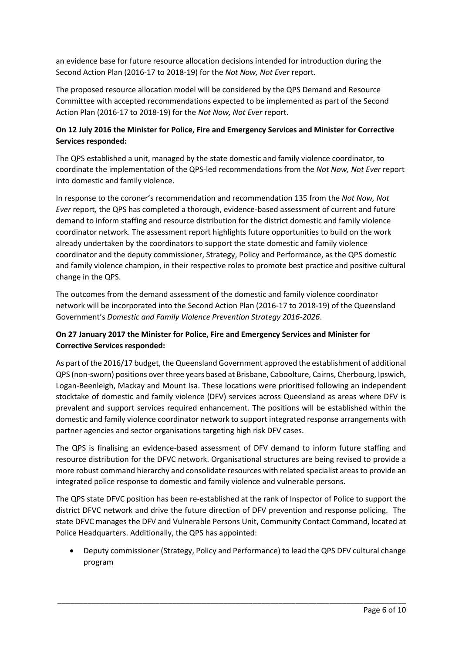an evidence base for future resource allocation decisions intended for introduction during the Second Action Plan (2016-17 to 2018-19) for the *Not Now, Not Ever* report.

The proposed resource allocation model will be considered by the QPS Demand and Resource Committee with accepted recommendations expected to be implemented as part of the Second Action Plan (2016-17 to 2018-19) for the *Not Now, Not Ever* report.

## **On 12 July 2016 the Minister for Police, Fire and Emergency Services and Minister for Corrective Services responded:**

The QPS established a unit, managed by the state domestic and family violence coordinator, to coordinate the implementation of the QPS-led recommendations from the *Not Now, Not Ever* report into domestic and family violence.

In response to the coroner's recommendation and recommendation 135 from the *Not Now, Not Ever* report*,* the QPS has completed a thorough, evidence-based assessment of current and future demand to inform staffing and resource distribution for the district domestic and family violence coordinator network. The assessment report highlights future opportunities to build on the work already undertaken by the coordinators to support the state domestic and family violence coordinator and the deputy commissioner, Strategy, Policy and Performance, as the QPS domestic and family violence champion, in their respective roles to promote best practice and positive cultural change in the QPS.

The outcomes from the demand assessment of the domestic and family violence coordinator network will be incorporated into the Second Action Plan (2016-17 to 2018-19) of the Queensland Government's *Domestic and Family Violence Prevention Strategy 2016-2026*.

# **On 27 January 2017 the Minister for Police, Fire and Emergency Services and Minister for Corrective Services responded:**

As part of the 2016/17 budget, the Queensland Government approved the establishment of additional QPS (non-sworn) positions over three years based at Brisbane, Caboolture, Cairns, Cherbourg, Ipswich, Logan-Beenleigh, Mackay and Mount Isa. These locations were prioritised following an independent stocktake of domestic and family violence (DFV) services across Queensland as areas where DFV is prevalent and support services required enhancement. The positions will be established within the domestic and family violence coordinator network to support integrated response arrangements with partner agencies and sector organisations targeting high risk DFV cases.

The QPS is finalising an evidence-based assessment of DFV demand to inform future staffing and resource distribution for the DFVC network. Organisational structures are being revised to provide a more robust command hierarchy and consolidate resources with related specialist areas to provide an integrated police response to domestic and family violence and vulnerable persons.

The QPS state DFVC position has been re-established at the rank of Inspector of Police to support the district DFVC network and drive the future direction of DFV prevention and response policing. The state DFVC manages the DFV and Vulnerable Persons Unit, Community Contact Command, located at Police Headquarters. Additionally, the QPS has appointed:

 Deputy commissioner (Strategy, Policy and Performance) to lead the QPS DFV cultural change program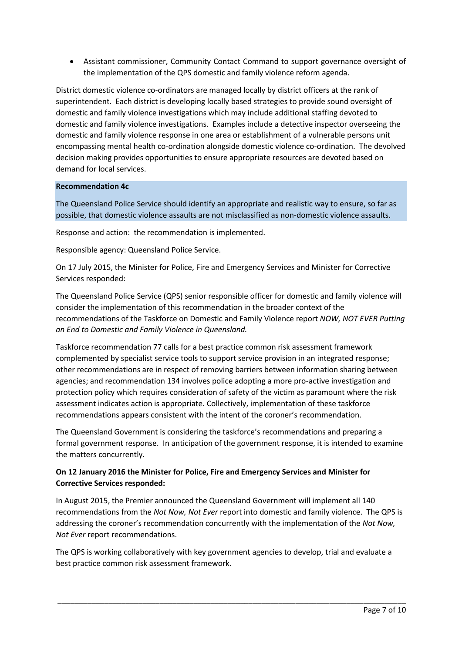Assistant commissioner, Community Contact Command to support governance oversight of the implementation of the QPS domestic and family violence reform agenda.

District domestic violence co-ordinators are managed locally by district officers at the rank of superintendent. Each district is developing locally based strategies to provide sound oversight of domestic and family violence investigations which may include additional staffing devoted to domestic and family violence investigations. Examples include a detective inspector overseeing the domestic and family violence response in one area or establishment of a vulnerable persons unit encompassing mental health co-ordination alongside domestic violence co-ordination. The devolved decision making provides opportunities to ensure appropriate resources are devoted based on demand for local services.

#### **Recommendation 4c**

The Queensland Police Service should identify an appropriate and realistic way to ensure, so far as possible, that domestic violence assaults are not misclassified as non-domestic violence assaults.

Response and action: the recommendation is implemented.

Responsible agency: Queensland Police Service.

On 17 July 2015, the Minister for Police, Fire and Emergency Services and Minister for Corrective Services responded:

The Queensland Police Service (QPS) senior responsible officer for domestic and family violence will consider the implementation of this recommendation in the broader context of the recommendations of the Taskforce on Domestic and Family Violence report *NOW, NOT EVER Putting an End to Domestic and Family Violence in Queensland.*

Taskforce recommendation 77 calls for a best practice common risk assessment framework complemented by specialist service tools to support service provision in an integrated response; other recommendations are in respect of removing barriers between information sharing between agencies; and recommendation 134 involves police adopting a more pro-active investigation and protection policy which requires consideration of safety of the victim as paramount where the risk assessment indicates action is appropriate. Collectively, implementation of these taskforce recommendations appears consistent with the intent of the coroner's recommendation.

The Queensland Government is considering the taskforce's recommendations and preparing a formal government response. In anticipation of the government response, it is intended to examine the matters concurrently.

## **On 12 January 2016 the Minister for Police, Fire and Emergency Services and Minister for Corrective Services responded:**

In August 2015, the Premier announced the Queensland Government will implement all 140 recommendations from the *Not Now, Not Ever* report into domestic and family violence. The QPS is addressing the coroner's recommendation concurrently with the implementation of the *Not Now, Not Ever* report recommendations.

The QPS is working collaboratively with key government agencies to develop, trial and evaluate a best practice common risk assessment framework.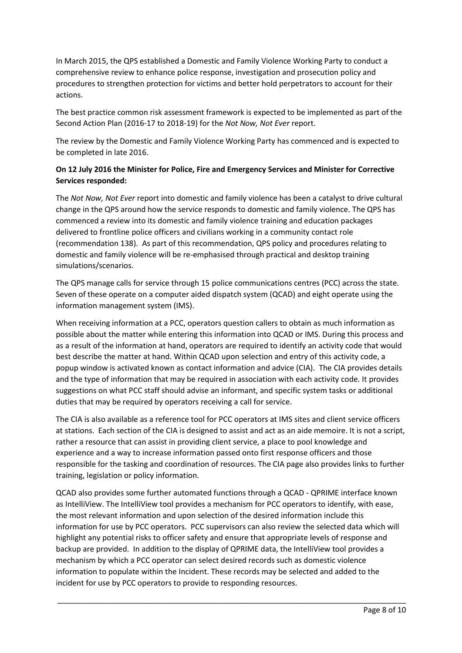In March 2015, the QPS established a Domestic and Family Violence Working Party to conduct a comprehensive review to enhance police response, investigation and prosecution policy and procedures to strengthen protection for victims and better hold perpetrators to account for their actions.

The best practice common risk assessment framework is expected to be implemented as part of the Second Action Plan (2016-17 to 2018-19) for the *Not Now, Not Ever* report.

The review by the Domestic and Family Violence Working Party has commenced and is expected to be completed in late 2016.

## **On 12 July 2016 the Minister for Police, Fire and Emergency Services and Minister for Corrective Services responded:**

The *Not Now, Not Ever* report into domestic and family violence has been a catalyst to drive cultural change in the QPS around how the service responds to domestic and family violence. The QPS has commenced a review into its domestic and family violence training and education packages delivered to frontline police officers and civilians working in a community contact role (recommendation 138). As part of this recommendation, QPS policy and procedures relating to domestic and family violence will be re-emphasised through practical and desktop training simulations/scenarios.

The QPS manage calls for service through 15 police communications centres (PCC) across the state. Seven of these operate on a computer aided dispatch system (QCAD) and eight operate using the information management system (IMS).

When receiving information at a PCC, operators question callers to obtain as much information as possible about the matter while entering this information into QCAD or IMS. During this process and as a result of the information at hand, operators are required to identify an activity code that would best describe the matter at hand. Within QCAD upon selection and entry of this activity code, a popup window is activated known as contact information and advice (CIA). The CIA provides details and the type of information that may be required in association with each activity code. It provides suggestions on what PCC staff should advise an informant, and specific system tasks or additional duties that may be required by operators receiving a call for service.

The CIA is also available as a reference tool for PCC operators at IMS sites and client service officers at stations. Each section of the CIA is designed to assist and act as an aide memoire. It is not a script, rather a resource that can assist in providing client service, a place to pool knowledge and experience and a way to increase information passed onto first response officers and those responsible for the tasking and coordination of resources. The CIA page also provides links to further training, legislation or policy information.

QCAD also provides some further automated functions through a QCAD - QPRIME interface known as IntelliView. The IntelliView tool provides a mechanism for PCC operators to identify, with ease, the most relevant information and upon selection of the desired information include this information for use by PCC operators. PCC supervisors can also review the selected data which will highlight any potential risks to officer safety and ensure that appropriate levels of response and backup are provided. In addition to the display of QPRIME data, the IntelliView tool provides a mechanism by which a PCC operator can select desired records such as domestic violence information to populate within the Incident. These records may be selected and added to the incident for use by PCC operators to provide to responding resources.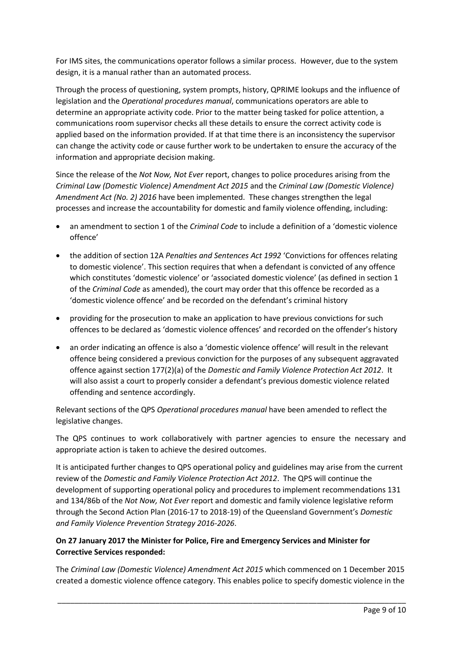For IMS sites, the communications operator follows a similar process. However, due to the system design, it is a manual rather than an automated process.

Through the process of questioning, system prompts, history, QPRIME lookups and the influence of legislation and the *Operational procedures manual*, communications operators are able to determine an appropriate activity code. Prior to the matter being tasked for police attention, a communications room supervisor checks all these details to ensure the correct activity code is applied based on the information provided. If at that time there is an inconsistency the supervisor can change the activity code or cause further work to be undertaken to ensure the accuracy of the information and appropriate decision making.

Since the release of the *Not Now, Not Ever* report, changes to police procedures arising from the *Criminal Law (Domestic Violence) Amendment Act 2015* and the *Criminal Law (Domestic Violence) Amendment Act (No. 2) 2016* have been implemented. These changes strengthen the legal processes and increase the accountability for domestic and family violence offending, including:

- an amendment to section 1 of the *Criminal Code* to include a definition of a 'domestic violence offence'
- the addition of section 12A *Penalties and Sentences Act 1992* 'Convictions for offences relating to domestic violence'. This section requires that when a defendant is convicted of any offence which constitutes 'domestic violence' or 'associated domestic violence' (as defined in section 1 of the *Criminal Code* as amended), the court may order that this offence be recorded as a 'domestic violence offence' and be recorded on the defendant's criminal history
- providing for the prosecution to make an application to have previous convictions for such offences to be declared as 'domestic violence offences' and recorded on the offender's history
- an order indicating an offence is also a 'domestic violence offence' will result in the relevant offence being considered a previous conviction for the purposes of any subsequent aggravated offence against section 177(2)(a) of the *Domestic and Family Violence Protection Act 2012*. It will also assist a court to properly consider a defendant's previous domestic violence related offending and sentence accordingly.

Relevant sections of the QPS *Operational procedures manual* have been amended to reflect the legislative changes.

The QPS continues to work collaboratively with partner agencies to ensure the necessary and appropriate action is taken to achieve the desired outcomes.

It is anticipated further changes to QPS operational policy and guidelines may arise from the current review of the *Domestic and Family Violence Protection Act 2012*. The QPS will continue the development of supporting operational policy and procedures to implement recommendations 131 and 134/86b of the *Not Now, Not Ever* report and domestic and family violence legislative reform through the Second Action Plan (2016-17 to 2018-19) of the Queensland Government's *Domestic and Family Violence Prevention Strategy 2016-2026*.

## **On 27 January 2017 the Minister for Police, Fire and Emergency Services and Minister for Corrective Services responded:**

The *Criminal Law (Domestic Violence) Amendment Act 2015* which commenced on 1 December 2015 created a domestic violence offence category. This enables police to specify domestic violence in the